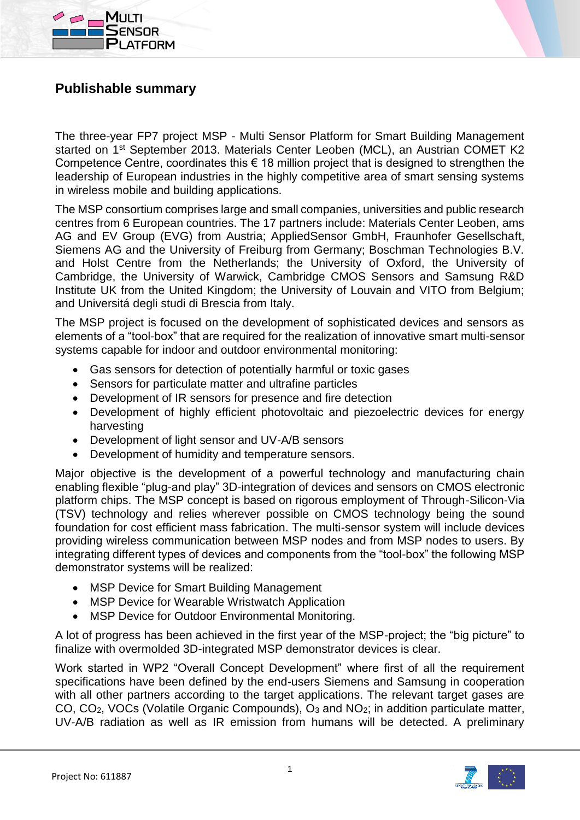



## **Publishable summary**

The three-year FP7 project MSP - Multi Sensor Platform for Smart Building Management started on 1<sup>st</sup> September 2013. Materials Center Leoben (MCL), an Austrian COMET K2 Competence Centre, coordinates this  $\epsilon$  18 million project that is designed to strengthen the leadership of European industries in the highly competitive area of smart sensing systems in wireless mobile and building applications.

The MSP consortium comprises large and small companies, universities and public research centres from 6 European countries. The 17 partners include: Materials Center Leoben, ams AG and EV Group (EVG) from Austria; AppliedSensor GmbH, Fraunhofer Gesellschaft, Siemens AG and the University of Freiburg from Germany; Boschman Technologies B.V. and Holst Centre from the Netherlands; the University of Oxford, the University of Cambridge, the University of Warwick, Cambridge CMOS Sensors and Samsung R&D Institute UK from the United Kingdom; the University of Louvain and VITO from Belgium; and Universitá degli studi di Brescia from Italy.

The MSP project is focused on the development of sophisticated devices and sensors as elements of a "tool-box" that are required for the realization of innovative smart multi-sensor systems capable for indoor and outdoor environmental monitoring:

- Gas sensors for detection of potentially harmful or toxic gases
- Sensors for particulate matter and ultrafine particles
- Development of IR sensors for presence and fire detection
- Development of highly efficient photovoltaic and piezoelectric devices for energy harvesting
- Development of light sensor and UV-A/B sensors
- Development of humidity and temperature sensors.

Major objective is the development of a powerful technology and manufacturing chain enabling flexible "plug-and play" 3D-integration of devices and sensors on CMOS electronic platform chips. The MSP concept is based on rigorous employment of Through-Silicon-Via (TSV) technology and relies wherever possible on CMOS technology being the sound foundation for cost efficient mass fabrication. The multi-sensor system will include devices providing wireless communication between MSP nodes and from MSP nodes to users. By integrating different types of devices and components from the "tool-box" the following MSP demonstrator systems will be realized:

- MSP Device for Smart Building Management
- MSP Device for Wearable Wristwatch Application
- MSP Device for Outdoor Environmental Monitoring.

A lot of progress has been achieved in the first year of the MSP-project; the "big picture" to finalize with overmolded 3D-integrated MSP demonstrator devices is clear.

Work started in WP2 "Overall Concept Development" where first of all the requirement specifications have been defined by the end-users Siemens and Samsung in cooperation with all other partners according to the target applications. The relevant target gases are CO, CO2, VOCs (Volatile Organic Compounds), O<sup>3</sup> and NO2; in addition particulate matter, UV-A/B radiation as well as IR emission from humans will be detected. A preliminary

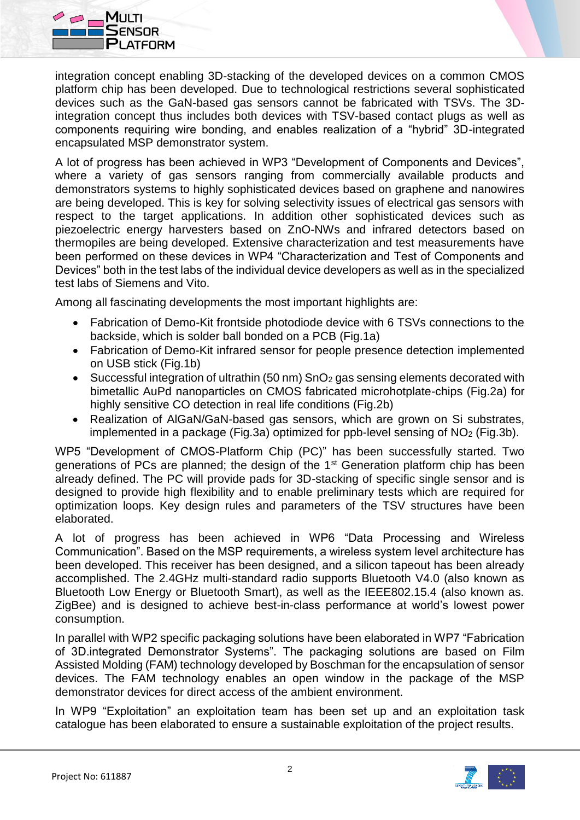

integration concept enabling 3D-stacking of the developed devices on a common CMOS platform chip has been developed. Due to technological restrictions several sophisticated devices such as the GaN-based gas sensors cannot be fabricated with TSVs. The 3Dintegration concept thus includes both devices with TSV-based contact plugs as well as components requiring wire bonding, and enables realization of a "hybrid" 3D-integrated encapsulated MSP demonstrator system.

A lot of progress has been achieved in WP3 "Development of Components and Devices", where a variety of gas sensors ranging from commercially available products and demonstrators systems to highly sophisticated devices based on graphene and nanowires are being developed. This is key for solving selectivity issues of electrical gas sensors with respect to the target applications. In addition other sophisticated devices such as piezoelectric energy harvesters based on ZnO-NWs and infrared detectors based on thermopiles are being developed. Extensive characterization and test measurements have been performed on these devices in WP4 "Characterization and Test of Components and Devices" both in the test labs of the individual device developers as well as in the specialized test labs of Siemens and Vito.

Among all fascinating developments the most important highlights are:

- Fabrication of Demo-Kit frontside photodiode device with 6 TSVs connections to the backside, which is solder ball bonded on a PCB (Fig.1a)
- Fabrication of Demo-Kit infrared sensor for people presence detection implemented on USB stick (Fig.1b)
- Successful integration of ultrathin (50 nm) SnO<sub>2</sub> gas sensing elements decorated with bimetallic AuPd nanoparticles on CMOS fabricated microhotplate-chips (Fig.2a) for highly sensitive CO detection in real life conditions (Fig.2b)
- Realization of AlGaN/GaN-based gas sensors, which are grown on Si substrates, implemented in a package (Fig.3a) optimized for ppb-level sensing of  $NO<sub>2</sub>$  (Fig.3b).

WP5 "Development of CMOS-Platform Chip (PC)" has been successfully started. Two generations of PCs are planned; the design of the 1st Generation platform chip has been already defined. The PC will provide pads for 3D-stacking of specific single sensor and is designed to provide high flexibility and to enable preliminary tests which are required for optimization loops. Key design rules and parameters of the TSV structures have been elaborated.

A lot of progress has been achieved in WP6 "Data Processing and Wireless Communication". Based on the MSP requirements, a wireless system level architecture has been developed. This receiver has been designed, and a silicon tapeout has been already accomplished. The 2.4GHz multi-standard radio supports Bluetooth V4.0 (also known as Bluetooth Low Energy or Bluetooth Smart), as well as the IEEE802.15.4 (also known as. ZigBee) and is designed to achieve best-in-class performance at world's lowest power consumption.

In parallel with WP2 specific packaging solutions have been elaborated in WP7 "Fabrication of 3D.integrated Demonstrator Systems". The packaging solutions are based on Film Assisted Molding (FAM) technology developed by Boschman for the encapsulation of sensor devices. The FAM technology enables an open window in the package of the MSP demonstrator devices for direct access of the ambient environment.

In WP9 "Exploitation" an exploitation team has been set up and an exploitation task catalogue has been elaborated to ensure a sustainable exploitation of the project results.

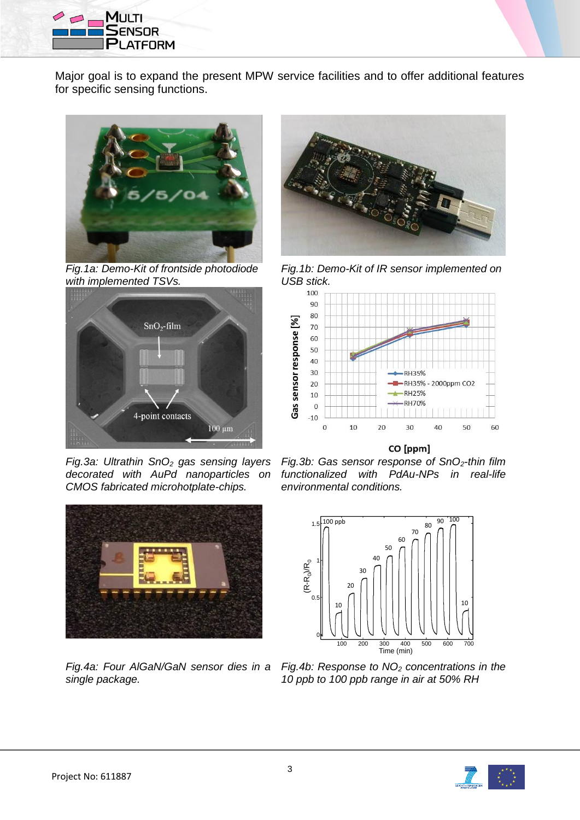

Major goal is to expand the present MPW service facilities and to offer additional features for specific sensing functions.



*Fig.1a: Demo-Kit of frontside photodiode with implemented TSVs.*



*Fig.3a: Ultrathin SnO<sup>2</sup> gas sensing layers decorated with AuPd nanoparticles on CMOS fabricated microhotplate-chips.*



*Fig.4a: Four AlGaN/GaN sensor dies in a single package.*



*Fig.1b: Demo-Kit of IR sensor implemented on USB stick.*



CO [ppm]

*Fig.3b: Gas sensor response of SnO2-thin film functionalized with PdAu-NPs in real-life environmental conditions.*



*Fig.4b: Response to NO<sup>2</sup> concentrations in the 10 ppb to 100 ppb range in air at 50% RH*